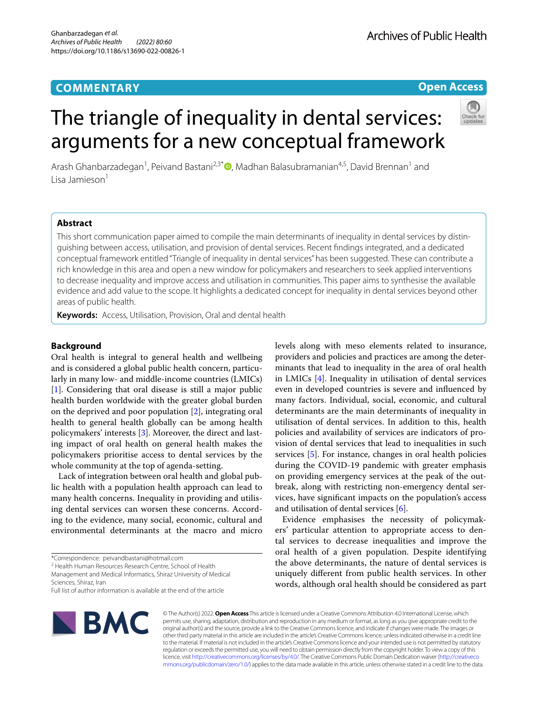## **COMMENTARY**

## **Open Access**

# The triangle of inequality in dental services: arguments for a new conceptual framework



Arash Ghanbarzadegan<sup>1</sup>, Peivand Bastani<sup>2,3[\\*](http://orcid.org/0000-0002-0412-0267)</sup>®, Madhan Balasubramanian<sup>4,5</sup>, David Brennan<sup>1</sup> and Lisa Jamieson<sup>1</sup>

## **Abstract**

This short communication paper aimed to compile the main determinants of inequality in dental services by distinguishing between access, utilisation, and provision of dental services. Recent fndings integrated, and a dedicated conceptual framework entitled "Triangle of inequality in dental services" has been suggested. These can contribute a rich knowledge in this area and open a new window for policymakers and researchers to seek applied interventions to decrease inequality and improve access and utilisation in communities. This paper aims to synthesise the available evidence and add value to the scope. It highlights a dedicated concept for inequality in dental services beyond other areas of public health.

**Keywords:** Access, Utilisation, Provision, Oral and dental health

## **Background**

Oral health is integral to general health and wellbeing and is considered a global public health concern, particularly in many low- and middle-income countries (LMICs) [[1\]](#page-2-0). Considering that oral disease is still a major public health burden worldwide with the greater global burden on the deprived and poor population [\[2](#page-2-1)], integrating oral health to general health globally can be among health policymakers' interests [\[3](#page-2-2)]. Moreover, the direct and lasting impact of oral health on general health makes the policymakers prioritise access to dental services by the whole community at the top of agenda-setting.

Lack of integration between oral health and global public health with a population health approach can lead to many health concerns. Inequality in providing and utilising dental services can worsen these concerns. According to the evidence, many social, economic, cultural and environmental determinants at the macro and micro

<sup>2</sup> Health Human Resources Research Centre, School of Health

Management and Medical Informatics, Shiraz University of Medical Sciences, Shiraz, Iran

levels along with meso elements related to insurance, providers and policies and practices are among the determinants that lead to inequality in the area of oral health in LMICs [\[4](#page-2-3)]. Inequality in utilisation of dental services even in developed countries is severe and infuenced by many factors. Individual, social, economic, and cultural determinants are the main determinants of inequality in utilisation of dental services. In addition to this, health policies and availability of services are indicators of provision of dental services that lead to inequalities in such services [\[5](#page-2-4)]. For instance, changes in oral health policies during the COVID-19 pandemic with greater emphasis on providing emergency services at the peak of the outbreak, along with restricting non-emergency dental services, have signifcant impacts on the population's access and utilisation of dental services [[6\]](#page-2-5).

Evidence emphasises the necessity of policymakers' particular attention to appropriate access to dental services to decrease inequalities and improve the oral health of a given population. Despite identifying the above determinants, the nature of dental services is uniquely diferent from public health services. In other words, although oral health should be considered as part



© The Author(s) 2022. **Open Access** This article is licensed under a Creative Commons Attribution 4.0 International License, which permits use, sharing, adaptation, distribution and reproduction in any medium or format, as long as you give appropriate credit to the original author(s) and the source, provide a link to the Creative Commons licence, and indicate if changes were made. The images or other third party material in this article are included in the article's Creative Commons licence, unless indicated otherwise in a credit line to the material. If material is not included in the article's Creative Commons licence and your intended use is not permitted by statutory regulation or exceeds the permitted use, you will need to obtain permission directly from the copyright holder. To view a copy of this licence, visit [http://creativecommons.org/licenses/by/4.0/.](http://creativecommons.org/licenses/by/4.0/) The Creative Commons Public Domain Dedication waiver ([http://creativeco](http://creativecommons.org/publicdomain/zero/1.0/) [mmons.org/publicdomain/zero/1.0/](http://creativecommons.org/publicdomain/zero/1.0/)) applies to the data made available in this article, unless otherwise stated in a credit line to the data.

<sup>\*</sup>Correspondence: peivandbastani@hotmail.com

Full list of author information is available at the end of the article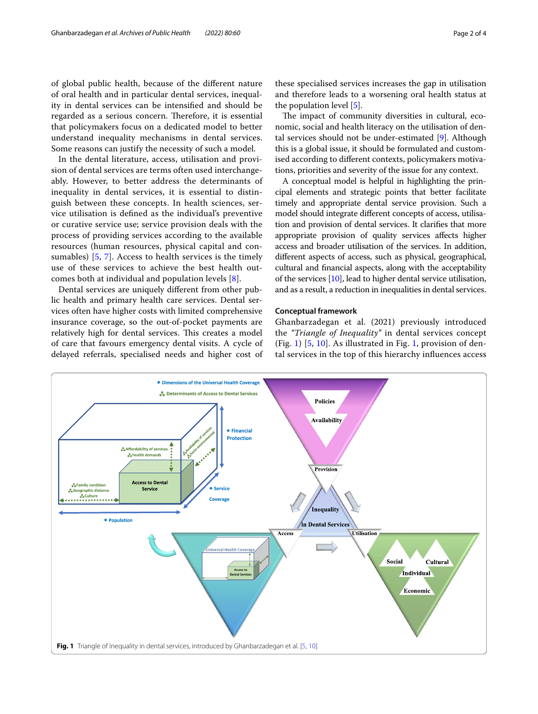of global public health, because of the diferent nature of oral health and in particular dental services, inequality in dental services can be intensifed and should be regarded as a serious concern. Therefore, it is essential that policymakers focus on a dedicated model to better understand inequality mechanisms in dental services. Some reasons can justify the necessity of such a model.

In the dental literature, access, utilisation and provision of dental services are terms often used interchangeably. However, to better address the determinants of inequality in dental services, it is essential to distinguish between these concepts. In health sciences, service utilisation is defned as the individual's preventive or curative service use; service provision deals with the process of providing services according to the available resources (human resources, physical capital and consumables) [[5](#page-2-4), [7\]](#page-2-6). Access to health services is the timely use of these services to achieve the best health outcomes both at individual and population levels [[8\]](#page-3-0).

Dental services are uniquely diferent from other public health and primary health care services. Dental services often have higher costs with limited comprehensive insurance coverage, so the out-of-pocket payments are relatively high for dental services. This creates a model of care that favours emergency dental visits. A cycle of delayed referrals, specialised needs and higher cost of

these specialised services increases the gap in utilisation and therefore leads to a worsening oral health status at the population level [\[5](#page-2-4)].

The impact of community diversities in cultural, economic, social and health literacy on the utilisation of dental services should not be under-estimated [[9\]](#page-3-1). Although this is a global issue, it should be formulated and customised according to diferent contexts, policymakers motivations, priorities and severity of the issue for any context.

A conceptual model is helpful in highlighting the principal elements and strategic points that better facilitate timely and appropriate dental service provision. Such a model should integrate diferent concepts of access, utilisation and provision of dental services. It clarifes that more appropriate provision of quality services afects higher access and broader utilisation of the services. In addition, diferent aspects of access, such as physical, geographical, cultural and fnancial aspects, along with the acceptability of the services [\[10\]](#page-3-2), lead to higher dental service utilisation, and as a result, a reduction in inequalities in dental services.

#### **Conceptual framework**

Ghanbarzadegan et al. (2021) previously introduced the *"Triangle of Inequality"* in dental services concept (Fig. [1\)](#page-1-0) [\[5](#page-2-4), [10](#page-3-2)]. As illustrated in Fig. [1](#page-1-0), provision of dental services in the top of this hierarchy infuences access

<span id="page-1-0"></span>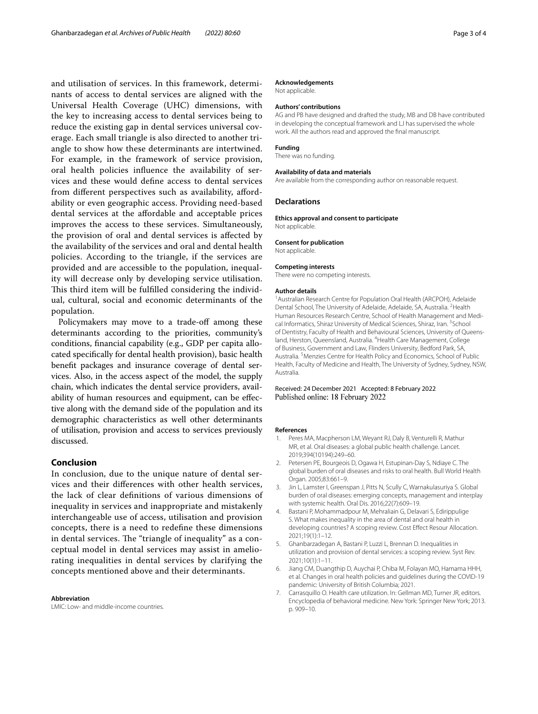and utilisation of services. In this framework, determinants of access to dental services are aligned with the Universal Health Coverage (UHC) dimensions, with the key to increasing access to dental services being to reduce the existing gap in dental services universal coverage. Each small triangle is also directed to another triangle to show how these determinants are intertwined. For example, in the framework of service provision, oral health policies infuence the availability of services and these would defne access to dental services from diferent perspectives such as availability, afordability or even geographic access. Providing need-based dental services at the afordable and acceptable prices improves the access to these services. Simultaneously, the provision of oral and dental services is afected by the availability of the services and oral and dental health policies. According to the triangle, if the services are provided and are accessible to the population, inequality will decrease only by developing service utilisation. This third item will be fulfilled considering the individual, cultural, social and economic determinants of the population.

Policymakers may move to a trade-off among these determinants according to the priorities, community's conditions, fnancial capability (e.g., GDP per capita allocated specifcally for dental health provision), basic health beneft packages and insurance coverage of dental services. Also, in the access aspect of the model, the supply chain, which indicates the dental service providers, availability of human resources and equipment, can be efective along with the demand side of the population and its demographic characteristics as well other determinants of utilisation, provision and access to services previously discussed.

## **Conclusion**

In conclusion, due to the unique nature of dental services and their diferences with other health services, the lack of clear defnitions of various dimensions of inequality in services and inappropriate and mistakenly interchangeable use of access, utilisation and provision concepts, there is a need to redefne these dimensions in dental services. The "triangle of inequality" as a conceptual model in dental services may assist in ameliorating inequalities in dental services by clarifying the concepts mentioned above and their determinants.

#### **Abbreviation**

LMIC: Low- and middle-income countries.

#### **Acknowledgements**

Not applicable.

#### **Authors' contributions**

AG and PB have designed and drafted the study, MB and DB have contributed in developing the conceptual framework and LJ has supervised the whole work. All the authors read and approved the fnal manuscript.

#### **Funding**

There was no funding.

**Availability of data and materials**

Are available from the corresponding author on reasonable request.

#### **Declarations**

**Ethics approval and consent to participate**

Not applicable.

#### **Consent for publication**

Not applicable.

#### **Competing interests**

There were no competing interests.

#### **Author details**

<sup>1</sup> Australian Research Centre for Population Oral Health (ARCPOH), Adelaide Dental School, The University of Adelaide, Adelaide, SA, Australia. <sup>2</sup>Health Human Resources Research Centre, School of Health Management and Medical Informatics, Shiraz University of Medical Sciences, Shiraz, Iran. <sup>3</sup>School of Dentistry, Faculty of Health and Behavioural Sciences, University of Queensland, Herston, Queensland, Australia. <sup>4</sup> Health Care Management, College of Business, Government and Law, Flinders University, Bedford Park, SA, Australia.<sup>5</sup> Menzies Centre for Health Policy and Economics, School of Public Health, Faculty of Medicine and Health, The University of Sydney, Sydney, NSW, Australia.

#### Received: 24 December 2021 Accepted: 8 February 2022 Published online: 18 February 2022

#### **References**

- <span id="page-2-0"></span>1. Peres MA, Macpherson LM, Weyant RJ, Daly B, Venturelli R, Mathur MR, et al. Oral diseases: a global public health challenge. Lancet. 2019;394(10194):249–60.
- <span id="page-2-1"></span>2. Petersen PE, Bourgeois D, Ogawa H, Estupinan-Day S, Ndiaye C. The global burden of oral diseases and risks to oral health. Bull World Health Organ. 2005;83:661–9.
- <span id="page-2-2"></span>3. Jin L, Lamster I, Greenspan J, Pitts N, Scully C, Warnakulasuriya S. Global burden of oral diseases: emerging concepts, management and interplay with systemic health. Oral Dis. 2016;22(7):609–19.
- <span id="page-2-3"></span>Bastani P, Mohammadpour M, Mehraliain G, Delavari S, Edirippulige S. What makes inequality in the area of dental and oral health in developing countries? A scoping review. Cost Efect Resour Allocation. 2021;19(1):1–12.
- <span id="page-2-4"></span>5. Ghanbarzadegan A, Bastani P, Luzzi L, Brennan D. Inequalities in utilization and provision of dental services: a scoping review. Syst Rev. 2021;10(1):1–11.
- <span id="page-2-5"></span>6. Jiang CM, Duangthip D, Auychai P, Chiba M, Folayan MO, Hamama HHH, et al. Changes in oral health policies and guidelines during the COVID-19 pandemic: University of British Columbia; 2021.
- <span id="page-2-6"></span>7. Carrasquillo O. Health care utilization. In: Gellman MD, Turner JR, editors. Encyclopedia of behavioral medicine. New York: Springer New York; 2013. p. 909–10.